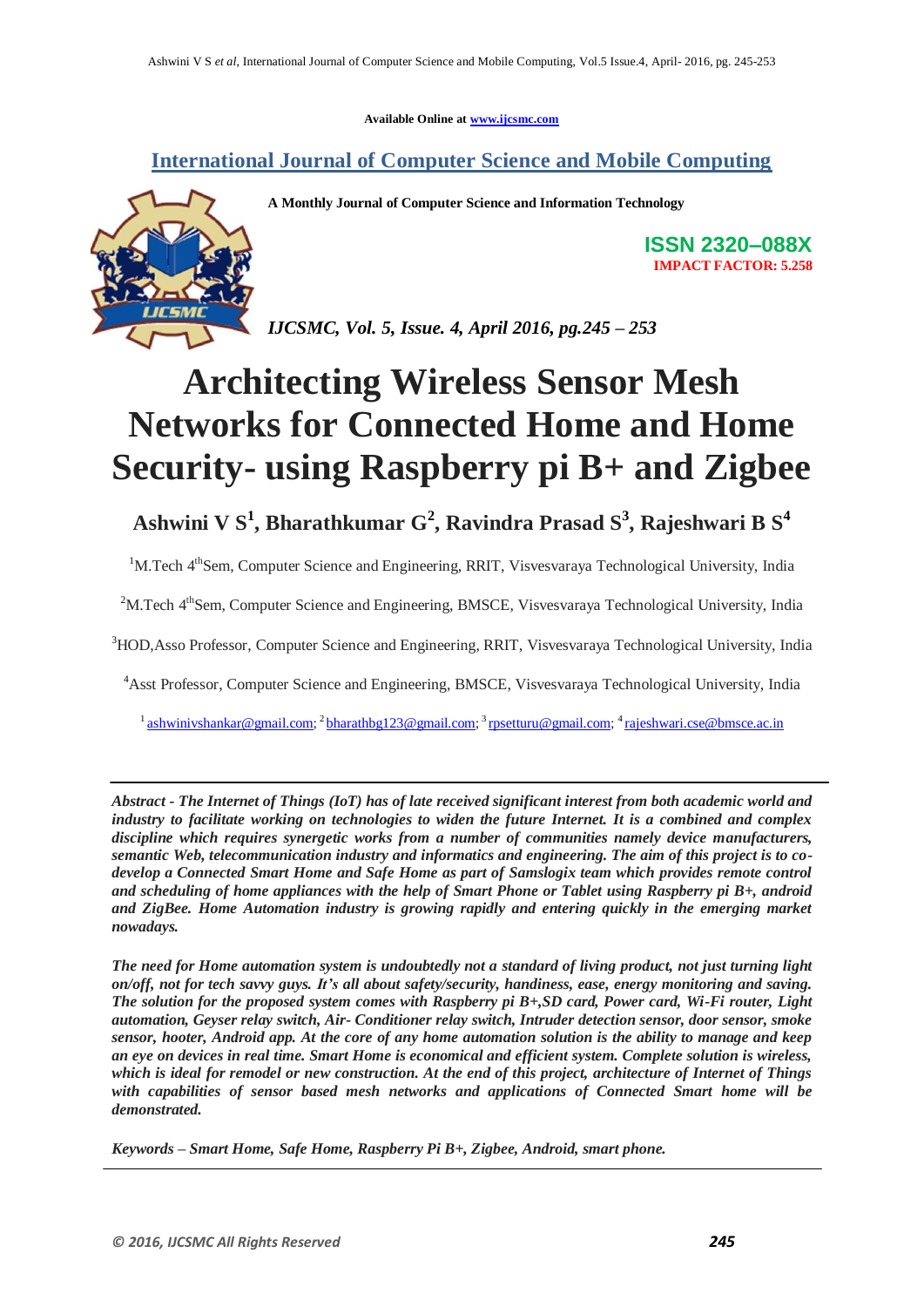**Available Online at www.ijcsmc.com**

**International Journal of Computer Science and Mobile Computing**



**A Monthly Journal of Computer Science and Information Technology**

**ISSN 2320–088X IMPACT FACTOR: 5.258**

*IJCSMC, Vol. 5, Issue. 4, April 2016, pg.245 – 253*

# **Architecting Wireless Sensor Mesh Networks for Connected Home and Home Security- using Raspberry pi B+ and Zigbee**

**Ashwini V S<sup>1</sup> , Bharathkumar G<sup>2</sup> , Ravindra Prasad S<sup>3</sup> , Rajeshwari B S<sup>4</sup>**

<sup>1</sup>M.Tech 4<sup>th</sup>Sem, Computer Science and Engineering, RRIT, Visvesvaraya Technological University, India

<sup>2</sup>M.Tech 4<sup>th</sup>Sem, Computer Science and Engineering, BMSCE, Visvesvaraya Technological University, India

<sup>3</sup>HOD,Asso Professor, Computer Science and Engineering, RRIT, Visvesvaraya Technological University, India

<sup>4</sup>Asst Professor, Computer Science and Engineering, BMSCE, Visvesvaraya Technological University, India

<sup>1</sup> ashwinivshankar@gmail.com;<sup>2</sup> bharathbg123@gmail.com;<sup>3</sup> rpsetturu@gmail.com;<sup>4</sup> rajeshwari.cse@bmsce.ac.in

*Abstract - The Internet of Things (IoT) has of late received significant interest from both academic world and industry to facilitate working on technologies to widen the future Internet. It is a combined and complex discipline which requires synergetic works from a number of communities namely device manufacturers, semantic Web, telecommunication industry and informatics and engineering. The aim of this project is to codevelop a Connected Smart Home and Safe Home as part of Samslogix team which provides remote control and scheduling of home appliances with the help of Smart Phone or Tablet using Raspberry pi B+, android and ZigBee. Home Automation industry is growing rapidly and entering quickly in the emerging market nowadays.* 

*The need for Home automation system is undoubtedly not a standard of living product, not just turning light on/off, not for tech savvy guys. It's all about safety/security, handiness, ease, energy monitoring and saving. The solution for the proposed system comes with Raspberry pi B+,SD card, Power card, Wi-Fi router, Light automation, Geyser relay switch, Air- Conditioner relay switch, Intruder detection sensor, door sensor, smoke sensor, hooter, Android app. At the core of any home automation solution is the ability to manage and keep an eye on devices in real time. Smart Home is economical and efficient system. Complete solution is wireless, which is ideal for remodel or new construction. At the end of this project, architecture of Internet of Things with capabilities of sensor based mesh networks and applications of Connected Smart home will be demonstrated.*

*Keywords – Smart Home, Safe Home, Raspberry Pi B+, Zigbee, Android, smart phone.*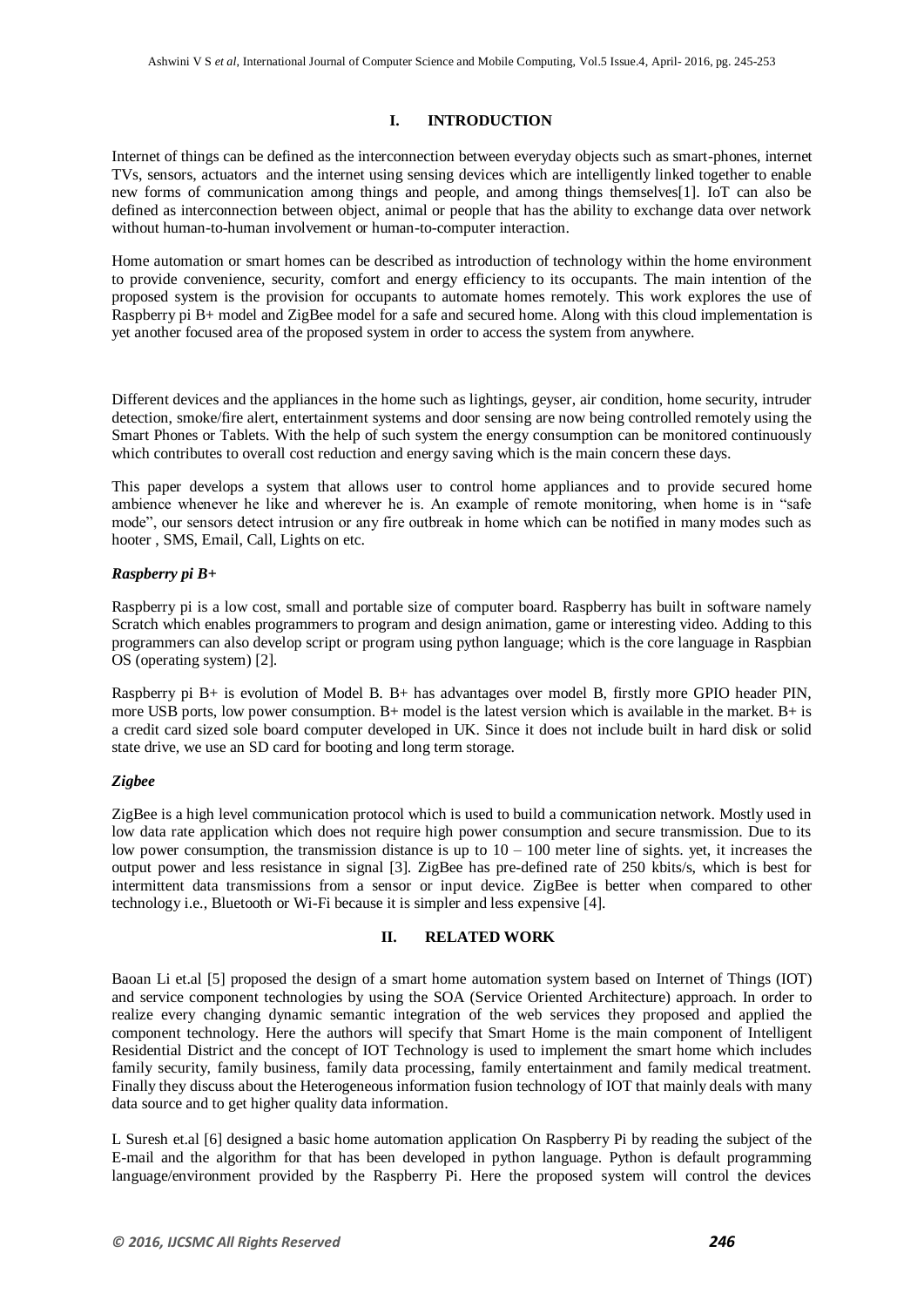# **I. INTRODUCTION**

Internet of things can be defined as the interconnection between everyday objects such as smart-phones, internet TVs, sensors, actuators and the internet using sensing devices which are intelligently linked together to enable new forms of communication among things and people, and among things themselves[1]. IoT can also be defined as interconnection between object, animal or people that has the ability to exchange data over network without human-to-human involvement or human-to-computer interaction.

Home automation or smart homes can be described as introduction of technology within the home environment to provide convenience, security, comfort and energy efficiency to its occupants. The main intention of the proposed system is the provision for occupants to automate homes remotely. This work explores the use of Raspberry pi B+ model and ZigBee model for a safe and secured home. Along with this cloud implementation is yet another focused area of the proposed system in order to access the system from anywhere.

Different devices and the appliances in the home such as lightings, geyser, air condition, home security, intruder detection, smoke/fire alert, entertainment systems and door sensing are now being controlled remotely using the Smart Phones or Tablets. With the help of such system the energy consumption can be monitored continuously which contributes to overall cost reduction and energy saving which is the main concern these days.

This paper develops a system that allows user to control home appliances and to provide secured home ambience whenever he like and wherever he is. An example of remote monitoring, when home is in "safe mode", our sensors detect intrusion or any fire outbreak in home which can be notified in many modes such as hooter , SMS, Email, Call, Lights on etc.

# *Raspberry pi B+*

Raspberry pi is a low cost, small and portable size of computer board. Raspberry has built in software namely Scratch which enables programmers to program and design animation, game or interesting video. Adding to this programmers can also develop script or program using python language; which is the core language in Raspbian OS (operating system) [2].

Raspberry pi B+ is evolution of Model B. B+ has advantages over model B, firstly more GPIO header PIN, more USB ports, low power consumption. B+ model is the latest version which is available in the market. B+ is a credit card sized sole board computer developed in UK. Since it does not include built in hard disk or solid state drive, we use an SD card for booting and long term storage.

# *Zigbee*

ZigBee is a high level communication protocol which is used to build a communication network. Mostly used in low data rate application which does not require high power consumption and secure transmission. Due to its low power consumption, the transmission distance is up to  $10 - 100$  meter line of sights. yet, it increases the output power and less resistance in signal [3]. ZigBee has pre-defined rate of 250 kbits/s, which is best for intermittent data transmissions from a sensor or input device. ZigBee is better when compared to other technology i.e., Bluetooth or Wi-Fi because it is simpler and less expensive [4].

# **II. RELATED WORK**

Baoan Li et.al [5] proposed the design of a smart home automation system based on Internet of Things (IOT) and service component technologies by using the SOA (Service Oriented Architecture) approach. In order to realize every changing dynamic semantic integration of the web services they proposed and applied the component technology. Here the authors will specify that Smart Home is the main component of Intelligent Residential District and the concept of IOT Technology is used to implement the smart home which includes family security, family business, family data processing, family entertainment and family medical treatment. Finally they discuss about the Heterogeneous information fusion technology of IOT that mainly deals with many data source and to get higher quality data information.

L Suresh et.al [6] designed a basic home automation application On Raspberry Pi by reading the subject of the E-mail and the algorithm for that has been developed in python language. Python is default programming language/environment provided by the Raspberry Pi. Here the proposed system will control the devices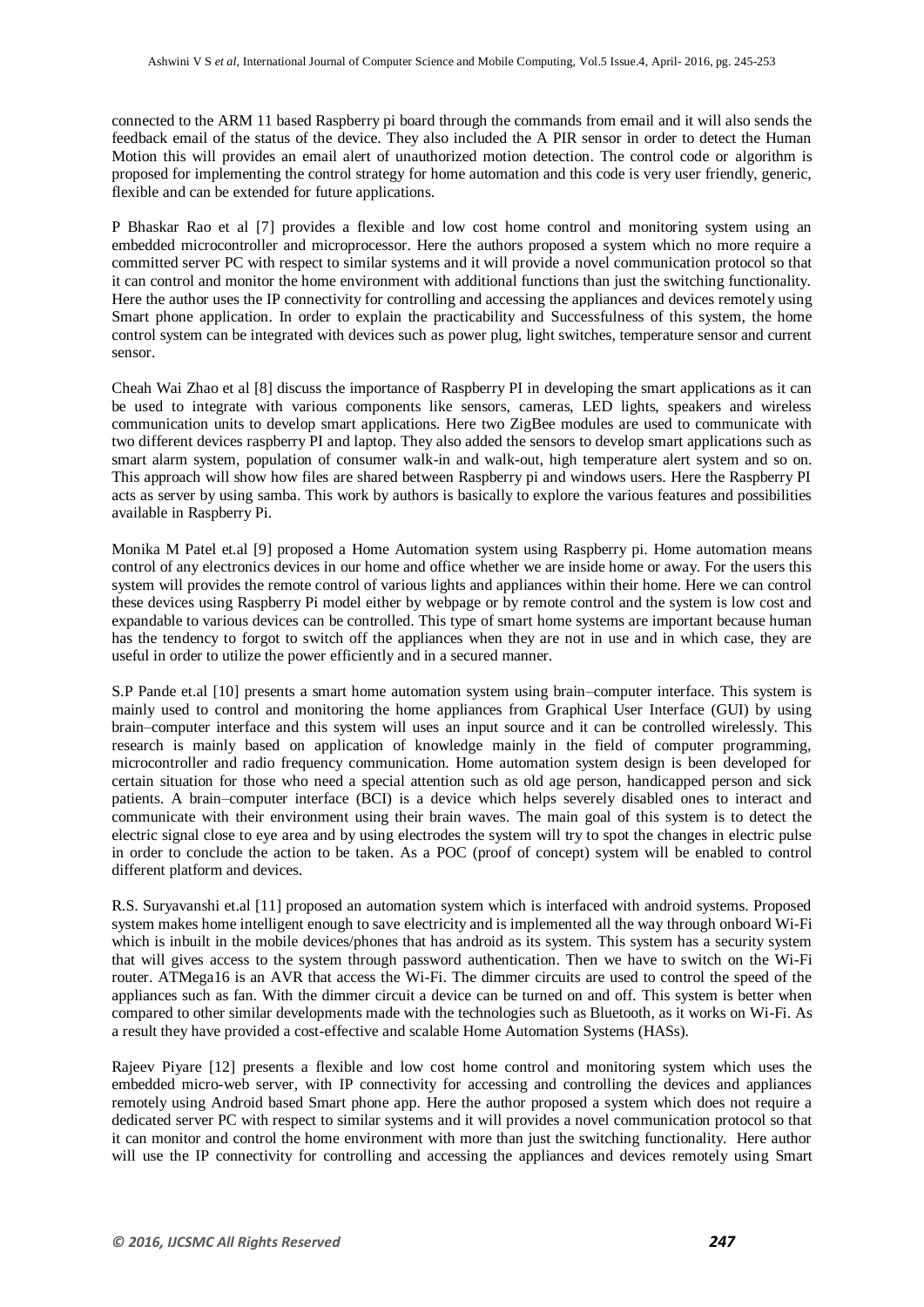connected to the ARM 11 based Raspberry pi board through the commands from email and it will also sends the feedback email of the status of the device. They also included the A PIR sensor in order to detect the Human Motion this will provides an email alert of unauthorized motion detection. The control code or algorithm is proposed for implementing the control strategy for home automation and this code is very user friendly, generic, flexible and can be extended for future applications.

P Bhaskar Rao et al [7] provides a flexible and low cost home control and monitoring system using an embedded microcontroller and microprocessor. Here the authors proposed a system which no more require a committed server PC with respect to similar systems and it will provide a novel communication protocol so that it can control and monitor the home environment with additional functions than just the switching functionality. Here the author uses the IP connectivity for controlling and accessing the appliances and devices remotely using Smart phone application. In order to explain the practicability and Successfulness of this system, the home control system can be integrated with devices such as power plug, light switches, temperature sensor and current sensor.

Cheah Wai Zhao et al [8] discuss the importance of Raspberry PI in developing the smart applications as it can be used to integrate with various components like sensors, cameras, LED lights, speakers and wireless communication units to develop smart applications. Here two ZigBee modules are used to communicate with two different devices raspberry PI and laptop. They also added the sensors to develop smart applications such as smart alarm system, population of consumer walk-in and walk-out, high temperature alert system and so on. This approach will show how files are shared between Raspberry pi and windows users. Here the Raspberry PI acts as server by using samba. This work by authors is basically to explore the various features and possibilities available in Raspberry Pi.

Monika M Patel et.al [9] proposed a Home Automation system using Raspberry pi. Home automation means control of any electronics devices in our home and office whether we are inside home or away. For the users this system will provides the remote control of various lights and appliances within their home. Here we can control these devices using Raspberry Pi model either by webpage or by remote control and the system is low cost and expandable to various devices can be controlled. This type of smart home systems are important because human has the tendency to forgot to switch off the appliances when they are not in use and in which case, they are useful in order to utilize the power efficiently and in a secured manner.

S.P Pande et.al [10] presents a smart home automation system using brain–computer interface. This system is mainly used to control and monitoring the home appliances from Graphical User Interface (GUI) by using brain–computer interface and this system will uses an input source and it can be controlled wirelessly. This research is mainly based on application of knowledge mainly in the field of computer programming, microcontroller and radio frequency communication. Home automation system design is been developed for certain situation for those who need a special attention such as old age person, handicapped person and sick patients. A brain–computer interface (BCI) is a device which helps severely disabled ones to interact and communicate with their environment using their brain waves. The main goal of this system is to detect the electric signal close to eye area and by using electrodes the system will try to spot the changes in electric pulse in order to conclude the action to be taken. As a POC (proof of concept) system will be enabled to control different platform and devices.

R.S. Suryavanshi et.al [11] proposed an automation system which is interfaced with android systems. Proposed system makes home intelligent enough to save electricity and is implemented all the way through onboard Wi-Fi which is inbuilt in the mobile devices/phones that has android as its system. This system has a security system that will gives access to the system through password authentication. Then we have to switch on the Wi-Fi router. ATMega16 is an AVR that access the Wi-Fi. The dimmer circuits are used to control the speed of the appliances such as fan. With the dimmer circuit a device can be turned on and off. This system is better when compared to other similar developments made with the technologies such as Bluetooth, as it works on Wi-Fi. As a result they have provided a cost-effective and scalable Home Automation Systems (HASs).

Rajeev Piyare [12] presents a flexible and low cost home control and monitoring system which uses the embedded micro-web server, with IP connectivity for accessing and controlling the devices and appliances remotely using Android based Smart phone app. Here the author proposed a system which does not require a dedicated server PC with respect to similar systems and it will provides a novel communication protocol so that it can monitor and control the home environment with more than just the switching functionality. Here author will use the IP connectivity for controlling and accessing the appliances and devices remotely using Smart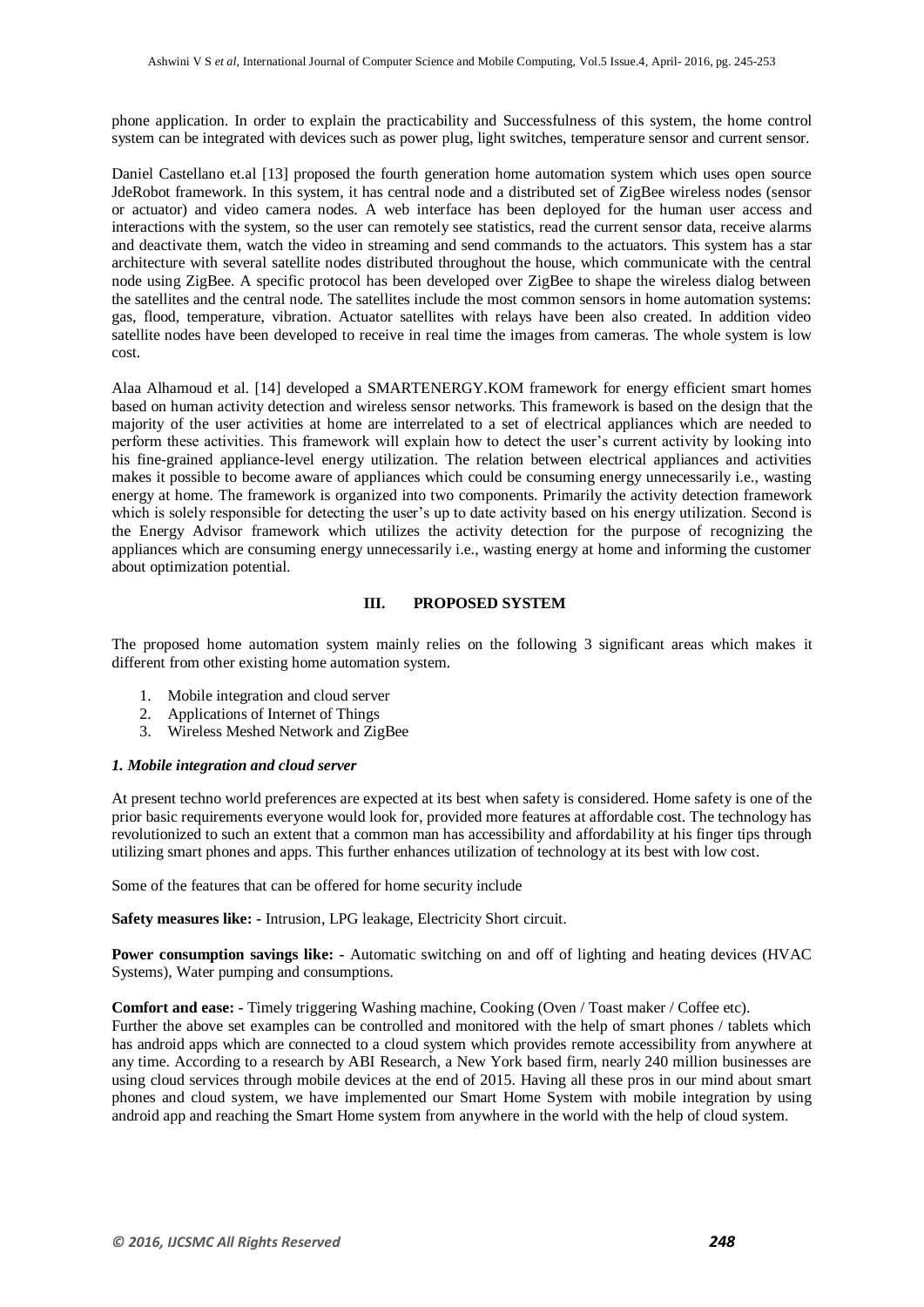phone application. In order to explain the practicability and Successfulness of this system, the home control system can be integrated with devices such as power plug, light switches, temperature sensor and current sensor.

Daniel Castellano et.al [13] proposed the fourth generation home automation system which uses open source JdeRobot framework. In this system, it has central node and a distributed set of ZigBee wireless nodes (sensor or actuator) and video camera nodes. A web interface has been deployed for the human user access and interactions with the system, so the user can remotely see statistics, read the current sensor data, receive alarms and deactivate them, watch the video in streaming and send commands to the actuators. This system has a star architecture with several satellite nodes distributed throughout the house, which communicate with the central node using ZigBee. A specific protocol has been developed over ZigBee to shape the wireless dialog between the satellites and the central node. The satellites include the most common sensors in home automation systems: gas, flood, temperature, vibration. Actuator satellites with relays have been also created. In addition video satellite nodes have been developed to receive in real time the images from cameras. The whole system is low cost.

Alaa Alhamoud et al. [14] developed a SMARTENERGY.KOM framework for energy efficient smart homes based on human activity detection and wireless sensor networks. This framework is based on the design that the majority of the user activities at home are interrelated to a set of electrical appliances which are needed to perform these activities. This framework will explain how to detect the user's current activity by looking into his fine-grained appliance-level energy utilization. The relation between electrical appliances and activities makes it possible to become aware of appliances which could be consuming energy unnecessarily i.e., wasting energy at home. The framework is organized into two components. Primarily the activity detection framework which is solely responsible for detecting the user's up to date activity based on his energy utilization. Second is the Energy Advisor framework which utilizes the activity detection for the purpose of recognizing the appliances which are consuming energy unnecessarily i.e., wasting energy at home and informing the customer about optimization potential.

# **III. PROPOSED SYSTEM**

The proposed home automation system mainly relies on the following 3 significant areas which makes it different from other existing home automation system.

- 1. Mobile integration and cloud server
- 2. Applications of Internet of Things
- 3. Wireless Meshed Network and ZigBee

## *1. Mobile integration and cloud server*

At present techno world preferences are expected at its best when safety is considered. Home safety is one of the prior basic requirements everyone would look for, provided more features at affordable cost. The technology has revolutionized to such an extent that a common man has accessibility and affordability at his finger tips through utilizing smart phones and apps. This further enhances utilization of technology at its best with low cost.

Some of the features that can be offered for home security include

**Safety measures like: -** Intrusion, LPG leakage, Electricity Short circuit.

**Power consumption savings like: -** Automatic switching on and off of lighting and heating devices (HVAC Systems), Water pumping and consumptions.

**Comfort and ease: -** Timely triggering Washing machine, Cooking (Oven / Toast maker / Coffee etc).

Further the above set examples can be controlled and monitored with the help of smart phones / tablets which has android apps which are connected to a cloud system which provides remote accessibility from anywhere at any time. According to a research by ABI Research, a New York based firm, nearly 240 million businesses are using cloud services through mobile devices at the end of 2015. Having all these pros in our mind about smart phones and cloud system, we have implemented our Smart Home System with mobile integration by using android app and reaching the Smart Home system from anywhere in the world with the help of cloud system.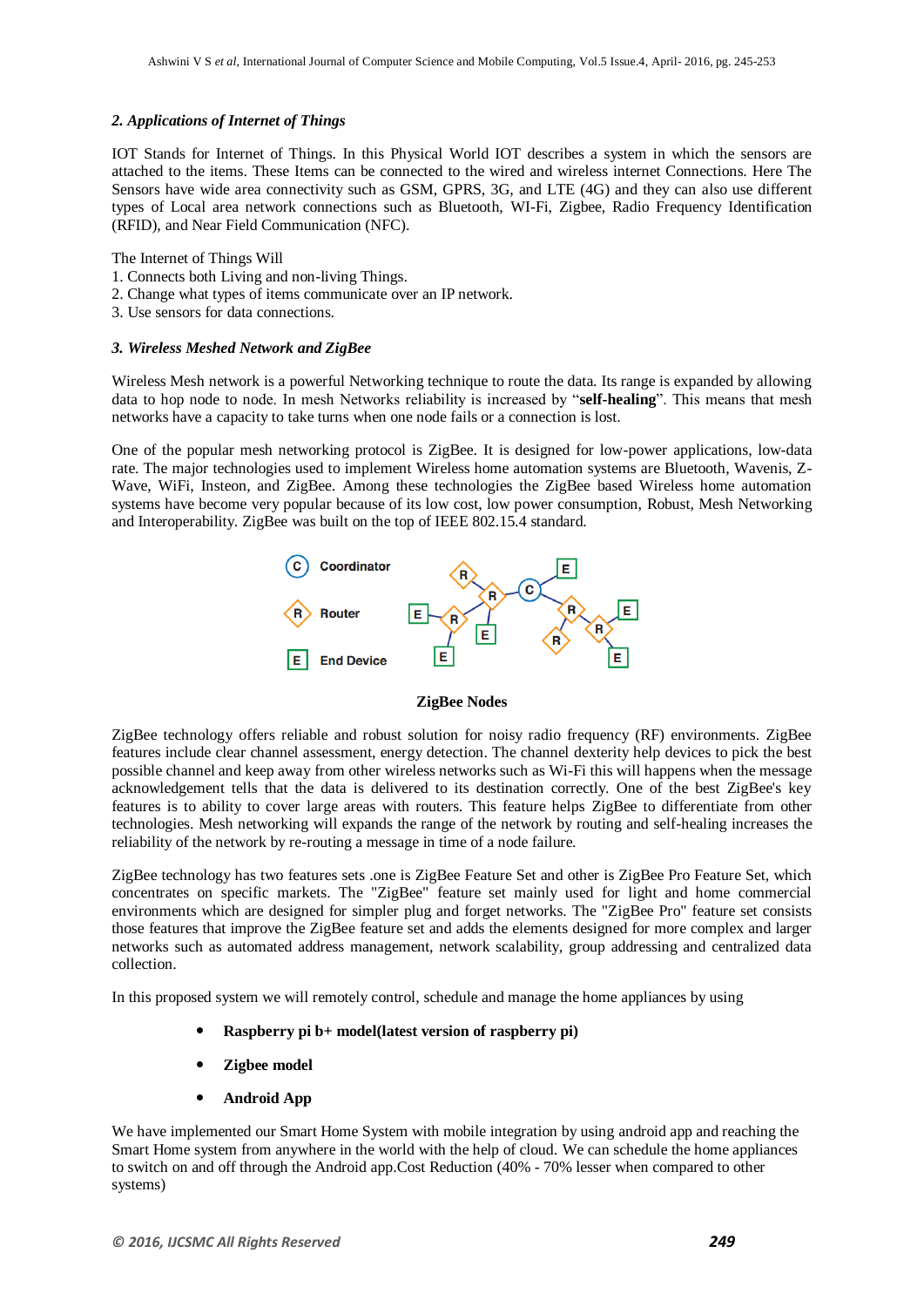## *2. Applications of Internet of Things*

IOT Stands for Internet of Things. In this Physical World IOT describes a system in which the sensors are attached to the items. These Items can be connected to the wired and wireless internet Connections. Here The Sensors have wide area connectivity such as GSM, GPRS, 3G, and LTE (4G) and they can also use different types of Local area network connections such as Bluetooth, WI-Fi, Zigbee, Radio Frequency Identification (RFID), and Near Field Communication (NFC).

The Internet of Things Will

- 1. Connects both Living and non-living Things.
- 2. Change what types of items communicate over an IP network.
- 3. Use sensors for data connections.

## *3. Wireless Meshed Network and ZigBee*

Wireless Mesh network is a powerful Networking technique to route the data. Its range is expanded by allowing data to hop node to node. In mesh Networks reliability is increased by "**self-healing**". This means that mesh networks have a capacity to take turns when one node fails or a connection is lost.

One of the popular mesh networking protocol is ZigBee. It is designed for low-power applications, low-data rate. The major technologies used to implement Wireless home automation systems are Bluetooth, Wavenis, Z-Wave, WiFi, Insteon, and ZigBee. Among these technologies the ZigBee based Wireless home automation systems have become very popular because of its low cost, low power consumption, Robust, Mesh Networking and Interoperability. ZigBee was built on the top of IEEE 802.15.4 standard.



#### **ZigBee Nodes**

ZigBee technology offers reliable and robust solution for noisy radio frequency (RF) environments. ZigBee features include clear channel assessment, energy detection. The channel dexterity help devices to pick the best possible channel and keep away from other wireless networks such as Wi-Fi this will happens when the message acknowledgement tells that the data is delivered to its destination correctly. One of the best ZigBee's key features is to ability to cover large areas with routers. This feature helps ZigBee to differentiate from other technologies. Mesh networking will expands the range of the network by routing and self-healing increases the reliability of the network by re-routing a message in time of a node failure.

ZigBee technology has two features sets .one is ZigBee Feature Set and other is ZigBee Pro Feature Set, which concentrates on specific markets. The "ZigBee" feature set mainly used for light and home commercial environments which are designed for simpler plug and forget networks. The "ZigBee Pro" feature set consists those features that improve the ZigBee feature set and adds the elements designed for more complex and larger networks such as automated address management, network scalability, group addressing and centralized data collection.

In this proposed system we will remotely control, schedule and manage the home appliances by using

- **Raspberry pi b+ model(latest version of raspberry pi)**
- **Zigbee model**
- **Android App**

We have implemented our Smart Home System with mobile integration by using android app and reaching the Smart Home system from anywhere in the world with the help of cloud. We can schedule the home appliances to switch on and off through the Android app.Cost Reduction (40% - 70% lesser when compared to other systems)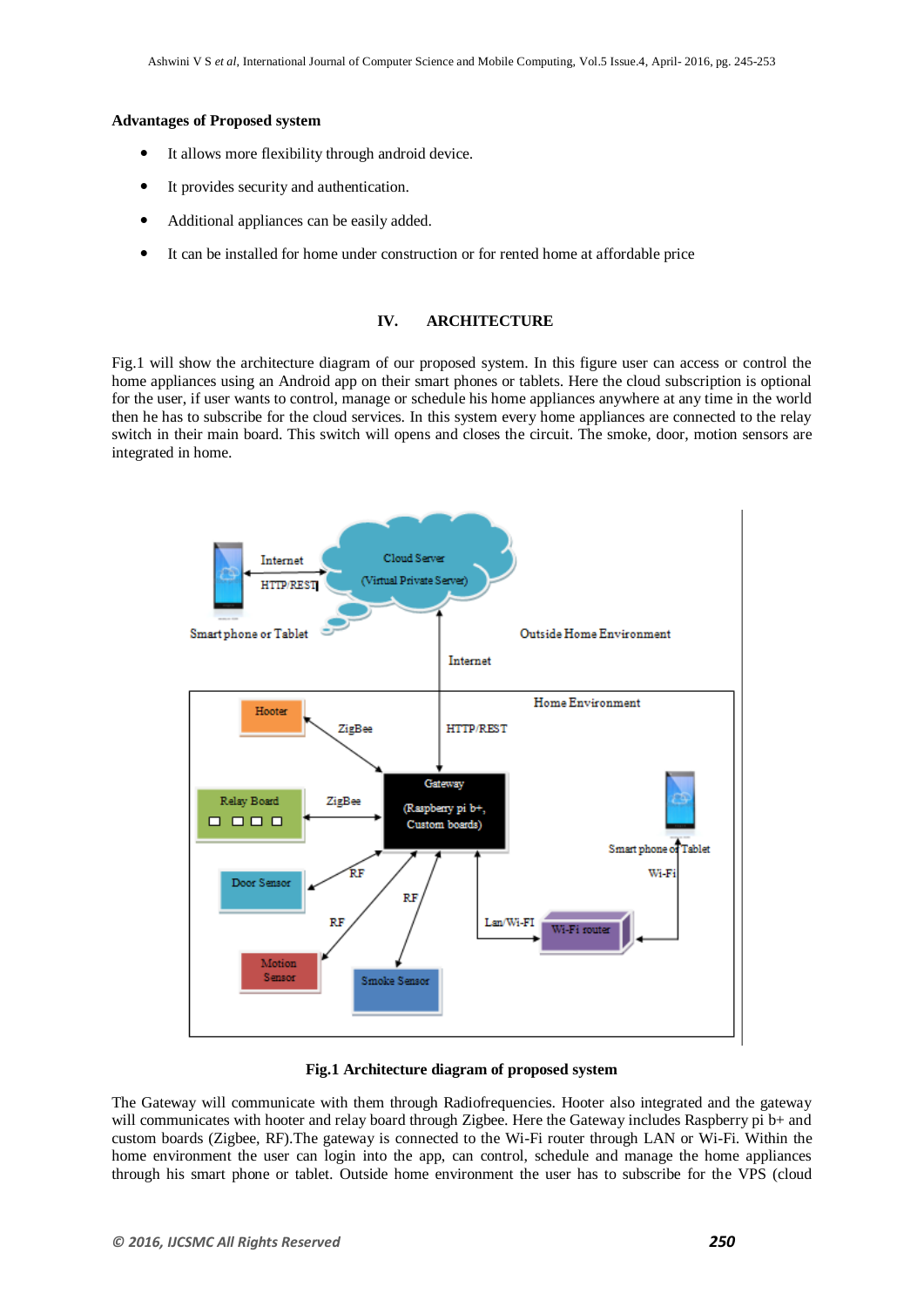## **Advantages of Proposed system**

- It allows more flexibility through android device.
- It provides security and authentication.
- Additional appliances can be easily added.
- It can be installed for home under construction or for rented home at affordable price

# **IV. ARCHITECTURE**

Fig.1 will show the architecture diagram of our proposed system. In this figure user can access or control the home appliances using an Android app on their smart phones or tablets. Here the cloud subscription is optional for the user, if user wants to control, manage or schedule his home appliances anywhere at any time in the world then he has to subscribe for the cloud services. In this system every home appliances are connected to the relay switch in their main board. This switch will opens and closes the circuit. The smoke, door, motion sensors are integrated in home.



## **Fig.1 Architecture diagram of proposed system**

The Gateway will communicate with them through Radiofrequencies. Hooter also integrated and the gateway will communicates with hooter and relay board through Zigbee. Here the Gateway includes Raspberry pi b+ and custom boards (Zigbee, RF).The gateway is connected to the Wi-Fi router through LAN or Wi-Fi. Within the home environment the user can login into the app, can control, schedule and manage the home appliances through his smart phone or tablet. Outside home environment the user has to subscribe for the VPS (cloud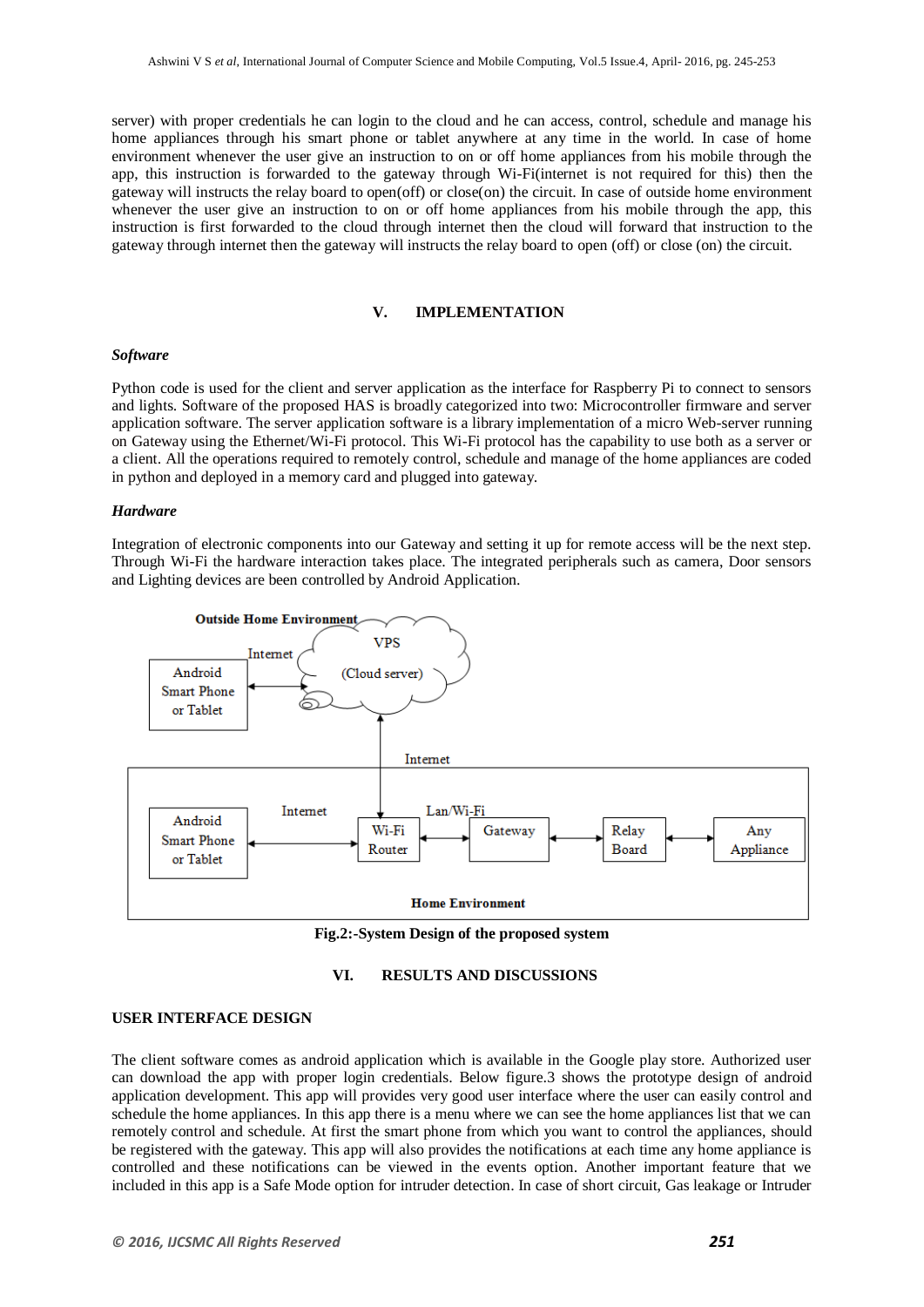server) with proper credentials he can login to the cloud and he can access, control, schedule and manage his home appliances through his smart phone or tablet anywhere at any time in the world. In case of home environment whenever the user give an instruction to on or off home appliances from his mobile through the app, this instruction is forwarded to the gateway through Wi-Fi(internet is not required for this) then the gateway will instructs the relay board to open(off) or close(on) the circuit. In case of outside home environment whenever the user give an instruction to on or off home appliances from his mobile through the app, this instruction is first forwarded to the cloud through internet then the cloud will forward that instruction to the gateway through internet then the gateway will instructs the relay board to open (off) or close (on) the circuit.

## **V. IMPLEMENTATION**

#### *Software*

Python code is used for the client and server application as the interface for Raspberry Pi to connect to sensors and lights. Software of the proposed HAS is broadly categorized into two: Microcontroller firmware and server application software. The server application software is a library implementation of a micro Web-server running on Gateway using the Ethernet/Wi-Fi protocol. This Wi-Fi protocol has the capability to use both as a server or a client. All the operations required to remotely control, schedule and manage of the home appliances are coded in python and deployed in a memory card and plugged into gateway.

#### *Hardware*

Integration of electronic components into our Gateway and setting it up for remote access will be the next step. Through Wi-Fi the hardware interaction takes place. The integrated peripherals such as camera, Door sensors and Lighting devices are been controlled by Android Application.



**Fig.2:-System Design of the proposed system**

## **VI. RESULTS AND DISCUSSIONS**

## **USER INTERFACE DESIGN**

The client software comes as android application which is available in the Google play store. Authorized user can download the app with proper login credentials. Below figure.3 shows the prototype design of android application development. This app will provides very good user interface where the user can easily control and schedule the home appliances. In this app there is a menu where we can see the home appliances list that we can remotely control and schedule. At first the smart phone from which you want to control the appliances, should be registered with the gateway. This app will also provides the notifications at each time any home appliance is controlled and these notifications can be viewed in the events option. Another important feature that we included in this app is a Safe Mode option for intruder detection. In case of short circuit, Gas leakage or Intruder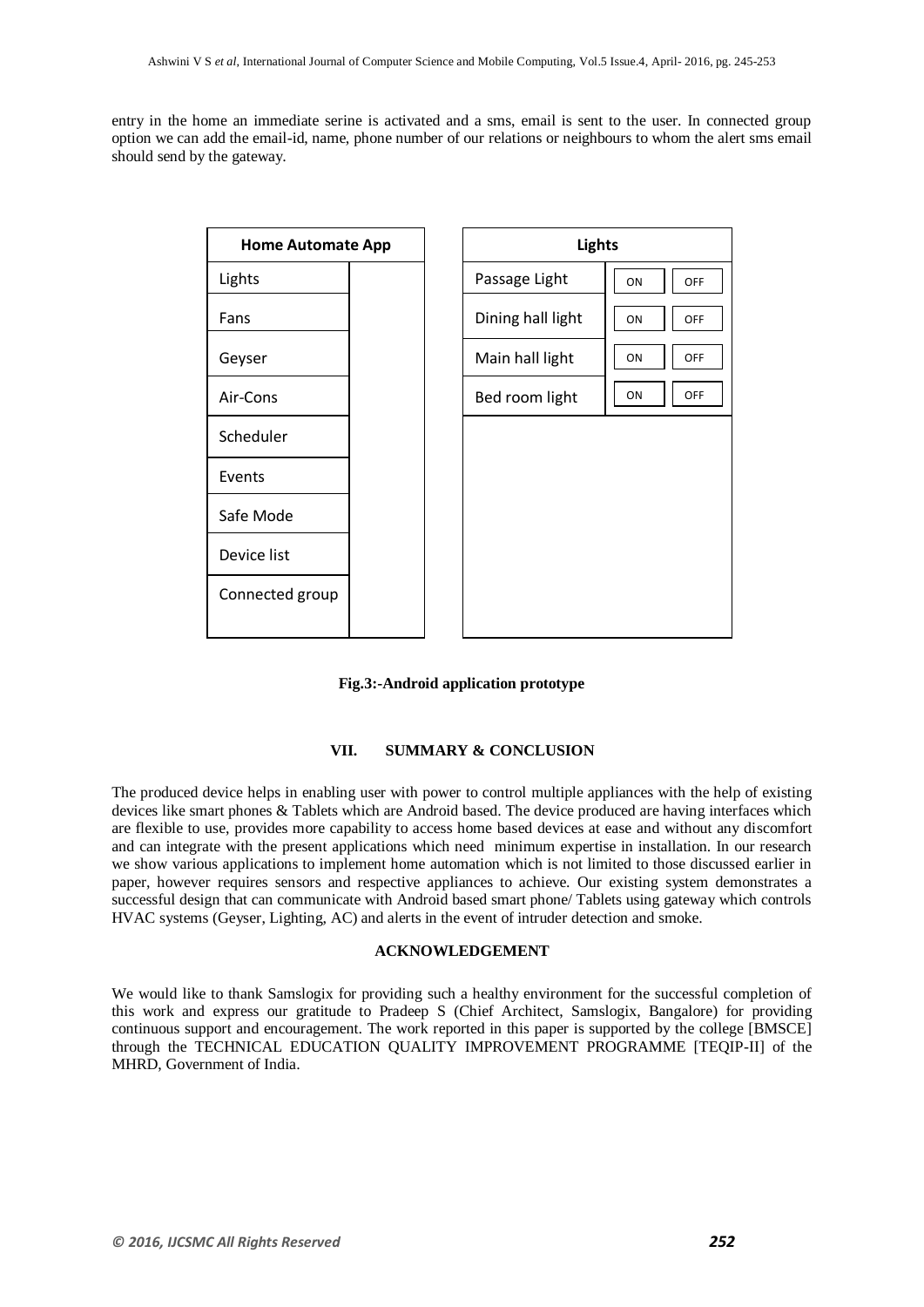entry in the home an immediate serine is activated and a sms, email is sent to the user. In connected group option we can add the email-id, name, phone number of our relations or neighbours to whom the alert sms email should send by the gateway.





# **VII. SUMMARY & CONCLUSION**

The produced device helps in enabling user with power to control multiple appliances with the help of existing devices like smart phones & Tablets which are Android based. The device produced are having interfaces which are flexible to use, provides more capability to access home based devices at ease and without any discomfort and can integrate with the present applications which need minimum expertise in installation. In our research we show various applications to implement home automation which is not limited to those discussed earlier in paper, however requires sensors and respective appliances to achieve. Our existing system demonstrates a successful design that can communicate with Android based smart phone/ Tablets using gateway which controls HVAC systems (Geyser, Lighting, AC) and alerts in the event of intruder detection and smoke.

# **ACKNOWLEDGEMENT**

We would like to thank Samslogix for providing such a healthy environment for the successful completion of this work and express our gratitude to Pradeep S (Chief Architect, Samslogix, Bangalore) for providing continuous support and encouragement. The work reported in this paper is supported by the college [BMSCE] through the TECHNICAL EDUCATION QUALITY IMPROVEMENT PROGRAMME [TEQIP-II] of the MHRD, Government of India.